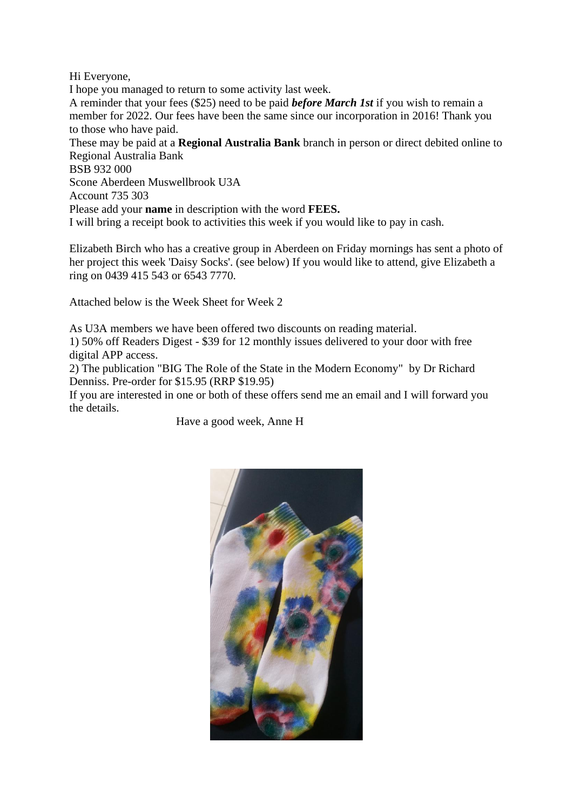Hi Everyone,

I hope you managed to return to some activity last week.

A reminder that your fees (\$25) need to be paid *before March 1st* if you wish to remain a member for 2022. Our fees have been the same since our incorporation in 2016! Thank you to those who have paid.

These may be paid at a **Regional Australia Bank** branch in person or direct debited online to Regional Australia Bank

BSB 932 000

Scone Aberdeen Muswellbrook U3A

Account 735 303

Please add your **name** in description with the word **FEES.**

I will bring a receipt book to activities this week if you would like to pay in cash.

Elizabeth Birch who has a creative group in Aberdeen on Friday mornings has sent a photo of her project this week 'Daisy Socks'. (see below) If you would like to attend, give Elizabeth a ring on 0439 415 543 or 6543 7770.

Attached below is the Week Sheet for Week 2

As U3A members we have been offered two discounts on reading material. 1) 50% off Readers Digest - \$39 for 12 monthly issues delivered to your door with free digital APP access.

2) The publication "BIG The Role of the State in the Modern Economy" by Dr Richard Denniss. Pre-order for \$15.95 (RRP \$19.95)

If you are interested in one or both of these offers send me an email and I will forward you the details.

Have a good week, Anne H